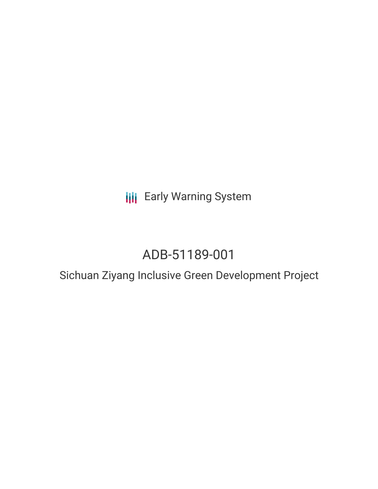**III** Early Warning System

# ADB-51189-001

## Sichuan Ziyang Inclusive Green Development Project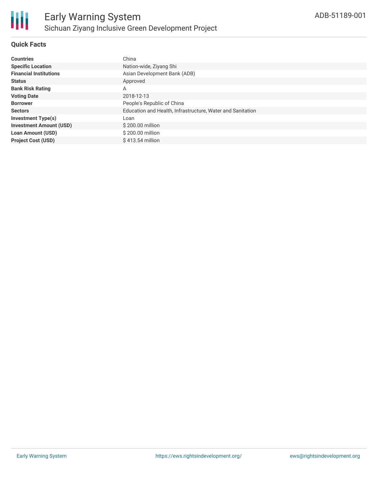

### **Quick Facts**

| <b>Countries</b>               | China                                                      |
|--------------------------------|------------------------------------------------------------|
| <b>Specific Location</b>       | Nation-wide, Ziyang Shi                                    |
| <b>Financial Institutions</b>  | Asian Development Bank (ADB)                               |
| <b>Status</b>                  | Approved                                                   |
| <b>Bank Risk Rating</b>        | A                                                          |
| <b>Voting Date</b>             | 2018-12-13                                                 |
| <b>Borrower</b>                | People's Republic of China                                 |
| <b>Sectors</b>                 | Education and Health, Infrastructure, Water and Sanitation |
| <b>Investment Type(s)</b>      | Loan                                                       |
| <b>Investment Amount (USD)</b> | \$200.00 million                                           |
| <b>Loan Amount (USD)</b>       | \$200.00 million                                           |
| <b>Project Cost (USD)</b>      | \$413.54 million                                           |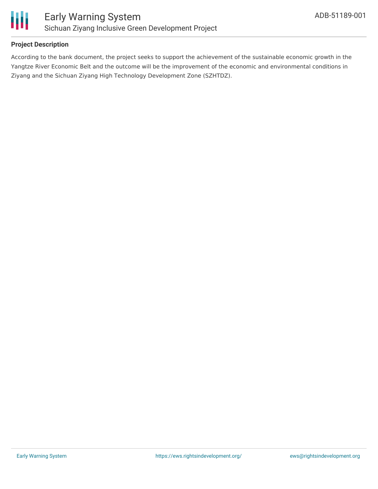

### **Project Description**

According to the bank document, the project seeks to support the achievement of the sustainable economic growth in the Yangtze River Economic Belt and the outcome will be the improvement of the economic and environmental conditions in Ziyang and the Sichuan Ziyang High Technology Development Zone (SZHTDZ).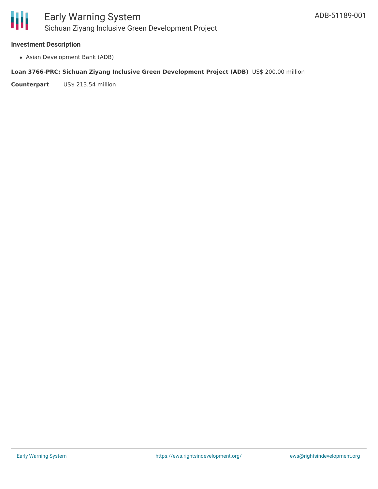

#### **Investment Description**

Asian Development Bank (ADB)

#### **Loan 3766-PRC: Sichuan Ziyang Inclusive Green Development Project (ADB)** US\$ 200.00 million

**Counterpart** US\$ 213.54 million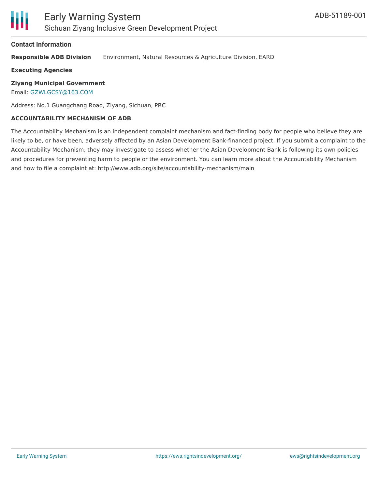#### **Contact Information**

**Responsible ADB Division** Environment, Natural Resources & Agriculture Division, EARD

**Executing Agencies**

**Ziyang Municipal Government**

Email: [GZWLGCSY@163.COM](mailto:GZWLGCSY@163.COM)

Address: No.1 Guangchang Road, Ziyang, Sichuan, PRC

#### **ACCOUNTABILITY MECHANISM OF ADB**

The Accountability Mechanism is an independent complaint mechanism and fact-finding body for people who believe they are likely to be, or have been, adversely affected by an Asian Development Bank-financed project. If you submit a complaint to the Accountability Mechanism, they may investigate to assess whether the Asian Development Bank is following its own policies and procedures for preventing harm to people or the environment. You can learn more about the Accountability Mechanism and how to file a complaint at: http://www.adb.org/site/accountability-mechanism/main